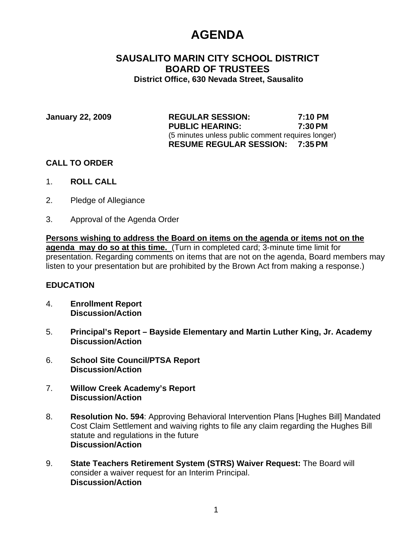# **AGENDA**

# **SAUSALITO MARIN CITY SCHOOL DISTRICT BOARD OF TRUSTEES District Office, 630 Nevada Street, Sausalito**

| January 22, 2009 | <b>REGULAR SESSION:</b>                           | 7:10 PM |
|------------------|---------------------------------------------------|---------|
|                  | <b>PUBLIC HEARING:</b>                            | 7:30 PM |
|                  | (5 minutes unless public comment requires longer) |         |
|                  | <b>RESUME REGULAR SESSION: 7:35 PM</b>            |         |

## **CALL TO ORDER**

- 1. **ROLL CALL**
- 2. Pledge of Allegiance
- 3. Approval of the Agenda Order

**Persons wishing to address the Board on items on the agenda or items not on the agenda may do so at this time.** (Turn in completed card; 3-minute time limit for presentation. Regarding comments on items that are not on the agenda, Board members may listen to your presentation but are prohibited by the Brown Act from making a response.)

### **EDUCATION**

- 4. **Enrollment Report Discussion/Action**
- 5. **Principal's Report Bayside Elementary and Martin Luther King, Jr. Academy Discussion/Action**
- 6. **School Site Council/PTSA Report Discussion/Action**
- 7. **Willow Creek Academy's Report Discussion/Action**
- 8. **Resolution No. 594**: Approving Behavioral Intervention Plans [Hughes Bill] Mandated Cost Claim Settlement and waiving rights to file any claim regarding the Hughes Bill statute and regulations in the future  **Discussion/Action**
- 9. **State Teachers Retirement System (STRS) Waiver Request:** The Board will consider a waiver request for an Interim Principal.  **Discussion/Action**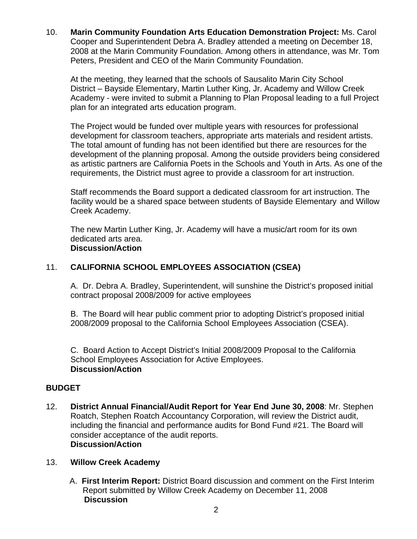10. **Marin Community Foundation Arts Education Demonstration Project:** Ms. Carol Cooper and Superintendent Debra A. Bradley attended a meeting on December 18, 2008 at the Marin Community Foundation. Among others in attendance, was Mr. Tom Peters, President and CEO of the Marin Community Foundation.

 At the meeting, they learned that the schools of Sausalito Marin City School District – Bayside Elementary, Martin Luther King, Jr. Academy and Willow Creek Academy - were invited to submit a Planning to Plan Proposal leading to a full Project plan for an integrated arts education program.

 The Project would be funded over multiple years with resources for professional development for classroom teachers, appropriate arts materials and resident artists. The total amount of funding has not been identified but there are resources for the development of the planning proposal. Among the outside providers being considered as artistic partners are California Poets in the Schools and Youth in Arts. As one of the requirements, the District must agree to provide a classroom for art instruction.

 Staff recommends the Board support a dedicated classroom for art instruction. The facility would be a shared space between students of Bayside Elementary and Willow Creek Academy.

 The new Martin Luther King, Jr. Academy will have a music/art room for its own dedicated arts area.  **Discussion/Action** 

# 11. **CALIFORNIA SCHOOL EMPLOYEES ASSOCIATION (CSEA)**

 A. Dr. Debra A. Bradley, Superintendent, will sunshine the District's proposed initial contract proposal 2008/2009 for active employees

 B. The Board will hear public comment prior to adopting District's proposed initial 2008/2009 proposal to the California School Employees Association (CSEA).

 C. Board Action to Accept District's Initial 2008/2009 Proposal to the California School Employees Association for Active Employees. **Discussion/Action** 

# **BUDGET**

12. **District Annual Financial/Audit Report for Year End June 30, 2008**: Mr. Stephen Roatch, Stephen Roatch Accountancy Corporation, will review the District audit, including the financial and performance audits for Bond Fund #21. The Board will consider acceptance of the audit reports. **Discussion/Action** 

### 13. **Willow Creek Academy**

 A. **First Interim Report:** District Board discussion and comment on the First Interim Report submitted by Willow Creek Academy on December 11, 2008 **Discussion**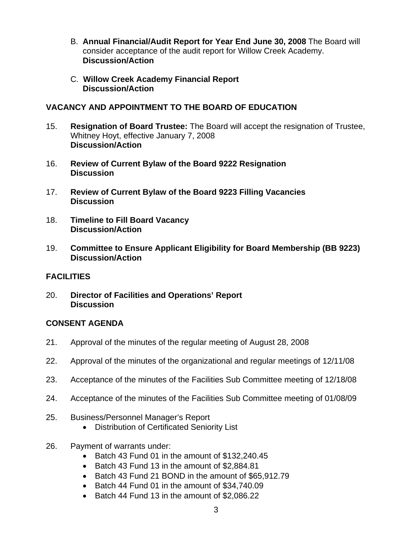- B. **Annual Financial/Audit Report for Year End June 30, 2008** The Board will consider acceptance of the audit report for Willow Creek Academy. **Discussion/Action**
- C. **Willow Creek Academy Financial Report Discussion/Action**

## **VACANCY AND APPOINTMENT TO THE BOARD OF EDUCATION**

- 15. **Resignation of Board Trustee:** The Board will accept the resignation of Trustee, Whitney Hoyt, effective January 7, 2008 **Discussion/Action**
- 16. **Review of Current Bylaw of the Board 9222 Resignation Discussion**
- 17. **Review of Current Bylaw of the Board 9223 Filling Vacancies Discussion**
- 18. **Timeline to Fill Board Vacancy Discussion/Action**
- 19. **Committee to Ensure Applicant Eligibility for Board Membership (BB 9223) Discussion/Action**

# **FACILITIES**

20. **Director of Facilities and Operations' Report Discussion** 

### **CONSENT AGENDA**

- 21. Approval of the minutes of the regular meeting of August 28, 2008
- 22. Approval of the minutes of the organizational and regular meetings of 12/11/08
- 23. Acceptance of the minutes of the Facilities Sub Committee meeting of 12/18/08
- 24. Acceptance of the minutes of the Facilities Sub Committee meeting of 01/08/09
- 25. Business/Personnel Manager's Report
	- Distribution of Certificated Seniority List
- 26. Payment of warrants under:
	- Batch 43 Fund 01 in the amount of \$132,240.45
	- Batch 43 Fund 13 in the amount of \$2,884.81
	- Batch 43 Fund 21 BOND in the amount of \$65,912.79
	- Batch 44 Fund 01 in the amount of \$34,740.09
	- Batch 44 Fund 13 in the amount of \$2,086.22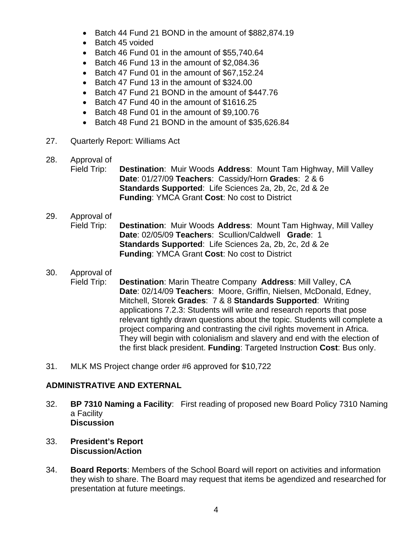- Batch 44 Fund 21 BOND in the amount of \$882,874.19
- Batch 45 voided
- Batch 46 Fund 01 in the amount of \$55,740.64
- Batch 46 Fund 13 in the amount of \$2,084.36
- Batch 47 Fund 01 in the amount of \$67,152.24
- Batch 47 Fund 13 in the amount of \$324.00
- Batch 47 Fund 21 BOND in the amount of \$447.76
- Batch 47 Fund 40 in the amount of \$1616.25
- Batch 48 Fund 01 in the amount of \$9,100.76
- Batch 48 Fund 21 BOND in the amount of \$35,626.84
- 27. Quarterly Report: Williams Act
- 28. Approval of

Field Trip: **Destination**: Muir Woods **Address**: Mount Tam Highway, Mill Valley **Date**: 01/27/09 **Teachers**: Cassidy/Horn **Grades**: 2 & 6  **Standards Supported**: Life Sciences 2a, 2b, 2c, 2d & 2e **Funding**: YMCA Grant **Cost**: No cost to District

- 29. Approval of Field Trip: **Destination**: Muir Woods **Address**: Mount Tam Highway, Mill Valley **Date**: 02/05/09 **Teachers**: Scullion/Caldwell **Grade**: 1  **Standards Supported**: Life Sciences 2a, 2b, 2c, 2d & 2e **Funding**: YMCA Grant **Cost**: No cost to District
- 30. Approval of Field Trip: **Destination**: Marin Theatre Company **Address**: Mill Valley, CA **Date**: 02/14/09 **Teachers**: Moore, Griffin, Nielsen, McDonald, Edney, Mitchell, Storek **Grades**: 7 & 8 **Standards Supported**: Writing applications 7.2.3: Students will write and research reports that pose relevant tightly drawn questions about the topic. Students will complete a project comparing and contrasting the civil rights movement in Africa. They will begin with colonialism and slavery and end with the election of the first black president. **Funding**: Targeted Instruction **Cost**: Bus only.
- 31. MLK MS Project change order #6 approved for \$10,722

# **ADMINISTRATIVE AND EXTERNAL**

- 32. **BP 7310 Naming a Facility**:First reading of proposed new Board Policy 7310 Naming a Facility **Discussion**
- 33. **President's Report Discussion/Action**
- 34. **Board Reports**: Members of the School Board will report on activities and information they wish to share. The Board may request that items be agendized and researched for presentation at future meetings.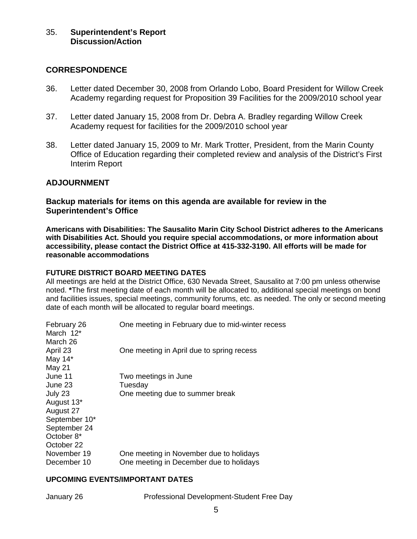#### **CORRESPONDENCE**

- 36. Letter dated December 30, 2008 from Orlando Lobo, Board President for Willow Creek Academy regarding request for Proposition 39 Facilities for the 2009/2010 school year
- 37. Letter dated January 15, 2008 from Dr. Debra A. Bradley regarding Willow Creek Academy request for facilities for the 2009/2010 school year
- 38. Letter dated January 15, 2009 to Mr. Mark Trotter, President, from the Marin County Office of Education regarding their completed review and analysis of the District's First Interim Report

### **ADJOURNMENT**

**Backup materials for items on this agenda are available for review in the Superintendent's Office** 

**Americans with Disabilities: The Sausalito Marin City School District adheres to the Americans with Disabilities Act. Should you require special accommodations, or more information about accessibility, please contact the District Office at 415-332-3190. All efforts will be made for reasonable accommodations**

#### **FUTURE DISTRICT BOARD MEETING DATES**

All meetings are held at the District Office, 630 Nevada Street, Sausalito at 7:00 pm unless otherwise noted. **\***The first meeting date of each month will be allocated to, additional special meetings on bond and facilities issues, special meetings, community forums, etc. as needed. The only or second meeting date of each month will be allocated to regular board meetings.

| February 26<br>March $12^*$ | One meeting in February due to mid-winter recess |
|-----------------------------|--------------------------------------------------|
| March 26                    |                                                  |
| April 23                    | One meeting in April due to spring recess        |
| May $14^*$                  |                                                  |
| May 21                      |                                                  |
| June 11                     | Two meetings in June                             |
| June 23                     | Tuesday                                          |
| July 23                     | One meeting due to summer break                  |
| August 13*                  |                                                  |
| August 27                   |                                                  |
| September 10*               |                                                  |
| September 24                |                                                  |
| October 8*                  |                                                  |
| October 22                  |                                                  |
| November 19                 | One meeting in November due to holidays          |
| December 10                 | One meeting in December due to holidays          |
|                             |                                                  |

#### **UPCOMING EVENTS/IMPORTANT DATES**

January 26 Professional Development-Student Free Day